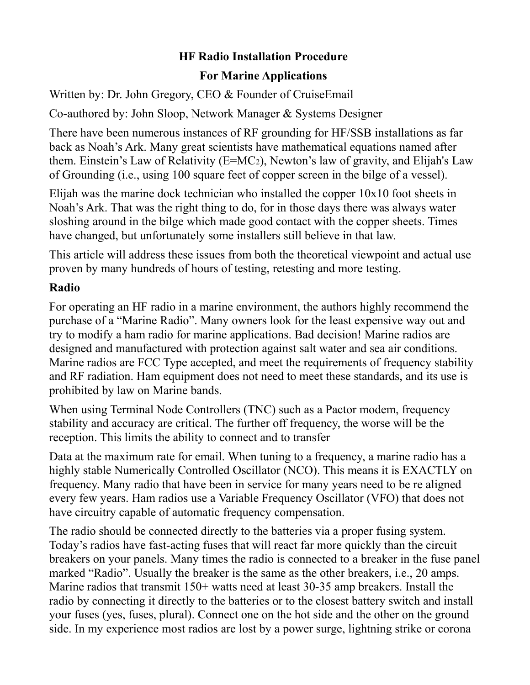## **HF Radio Installation Procedure**

### **For Marine Applications**

Written by: Dr. John Gregory, CEO & Founder of CruiseEmail

Co-authored by: John Sloop, Network Manager & Systems Designer

There have been numerous instances of RF grounding for HF/SSB installations as far back as Noah's Ark. Many great scientists have mathematical equations named after them. Einstein's Law of Relativity (E=MC2), Newton's law of gravity, and Elijah's Law of Grounding (i.e., using 100 square feet of copper screen in the bilge of a vessel).

Elijah was the marine dock technician who installed the copper  $10x10$  foot sheets in Noah's Ark. That was the right thing to do, for in those days there was always water sloshing around in the bilge which made good contact with the copper sheets. Times have changed, but unfortunately some installers still believe in that law.

This article will address these issues from both the theoretical viewpoint and actual use proven by many hundreds of hours of testing, retesting and more testing.

## **Radio**

For operating an HF radio in a marine environment, the authors highly recommend the purchase of a "Marine Radio". Many owners look for the least expensive way out and try to modify a ham radio for marine applications. Bad decision! Marine radios are designed and manufactured with protection against salt water and sea air conditions. Marine radios are FCC Type accepted, and meet the requirements of frequency stability and RF radiation. Ham equipment does not need to meet these standards, and its use is prohibited by law on Marine bands.

When using Terminal Node Controllers (TNC) such as a Pactor modem, frequency stability and accuracy are critical. The further off frequency, the worse will be the reception. This limits the ability to connect and to transfer

Data at the maximum rate for email. When tuning to a frequency, a marine radio has a highly stable Numerically Controlled Oscillator (NCO). This means it is EXACTLY on frequency. Many radio that have been in service for many years need to be re aligned every few years. Ham radios use a Variable Frequency Oscillator (VFO) that does not have circuitry capable of automatic frequency compensation.

The radio should be connected directly to the batteries via a proper fusing system. Today's radios have fast-acting fuses that will react far more quickly than the circuit breakers on your panels. Many times the radio is connected to a breaker in the fuse panel marked "Radio". Usually the breaker is the same as the other breakers, i.e., 20 amps. Marine radios that transmit 150+ watts need at least 30-35 amp breakers. Install the radio by connecting it directly to the batteries or to the closest battery switch and install your fuses (yes, fuses, plural). Connect one on the hot side and the other on the ground side. In my experience most radios are lost by a power surge, lightning strike or corona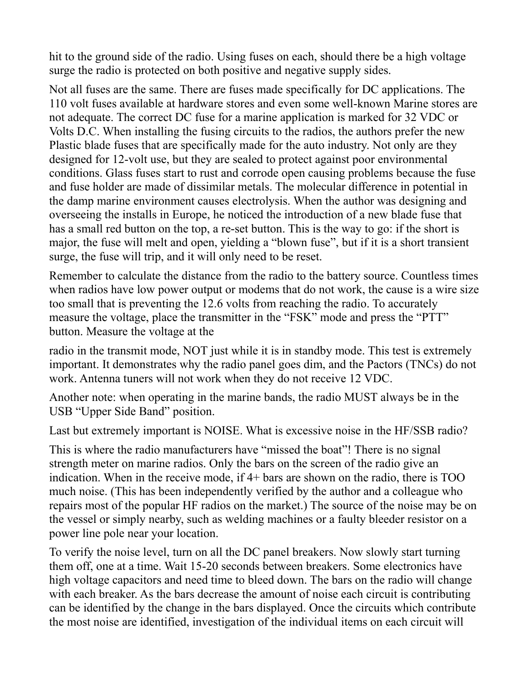hit to the ground side of the radio. Using fuses on each, should there be a high voltage surge the radio is protected on both positive and negative supply sides.

Not all fuses are the same. There are fuses made specifically for DC applications. The 110 volt fuses available at hardware stores and even some well-known Marine stores are not adequate. The correct DC fuse for a marine application is marked for 32 VDC or Volts D.C. When installing the fusing circuits to the radios, the authors prefer the new Plastic blade fuses that are specifically made for the auto industry. Not only are they designed for 12-volt use, but they are sealed to protect against poor environmental conditions. Glass fuses start to rust and corrode open causing problems because the fuse and fuse holder are made of dissimilar metals. The molecular difference in potential in the damp marine environment causes electrolysis. When the author was designing and overseeing the installs in Europe, he noticed the introduction of a new blade fuse that has a small red button on the top, a re-set button. This is the way to go: if the short is major, the fuse will melt and open, yielding a "blown fuse", but if it is a short transient surge, the fuse will trip, and it will only need to be reset.

Remember to calculate the distance from the radio to the battery source. Countless times when radios have low power output or modems that do not work, the cause is a wire size too small that is preventing the 12.6 volts from reaching the radio. To accurately measure the voltage, place the transmitter in the "FSK" mode and press the "PTT" button. Measure the voltage at the

radio in the transmit mode, NOT just while it is in standby mode. This test is extremely important. It demonstrates why the radio panel goes dim, and the Pactors (TNCs) do not work. Antenna tuners will not work when they do not receive 12 VDC.

Another note: when operating in the marine bands, the radio MUST always be in the USB "Upper Side Band" position.

Last but extremely important is NOISE. What is excessive noise in the HF/SSB radio?

This is where the radio manufacturers have "missed the boat"! There is no signal strength meter on marine radios. Only the bars on the screen of the radio give an indication. When in the receive mode, if 4+ bars are shown on the radio, there is TOO much noise. (This has been independently verified by the author and a colleague who repairs most of the popular HF radios on the market.) The source of the noise may be on the vessel or simply nearby, such as welding machines or a faulty bleeder resistor on a power line pole near your location.

To verify the noise level, turn on all the DC panel breakers. Now slowly start turning them off, one at a time. Wait 15-20 seconds between breakers. Some electronics have high voltage capacitors and need time to bleed down. The bars on the radio will change with each breaker. As the bars decrease the amount of noise each circuit is contributing can be identified by the change in the bars displayed. Once the circuits which contribute the most noise are identified, investigation of the individual items on each circuit will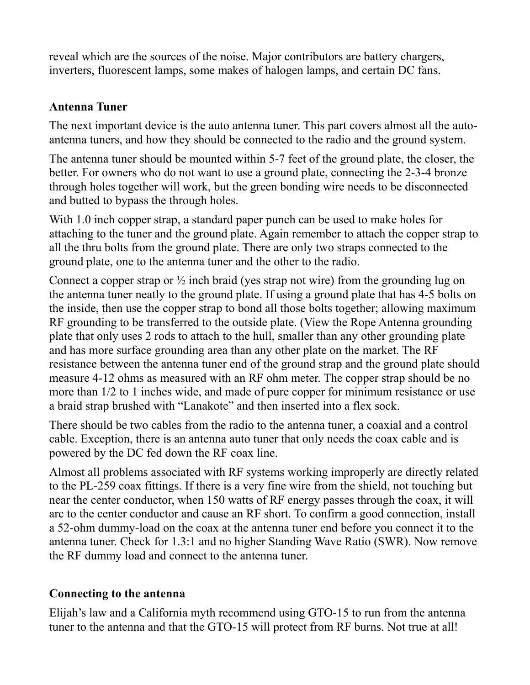reveal which are the sources of the noise. Major contributors are battery chargers, inverters, fluorescent lamps, some makes of halogen lamps, and certain DC fans.

#### **Antenna Tuner**

The next important device is the auto antenna tuner. This part covers almost all the autoantenna tuners, and how they should be connected to the radio and the ground system.

The antenna tuner should be mounted within 5-7 feet of the ground plate, the closer, the better. For owners who do not want to use a ground plate, connecting the 2-3-4 bronze through holes together will work, but the green bonding wire needs to be disconnected and butted to bypass the through holes.

With 1.0 inch copper strap, a standard paper punch can be used to make holes for attaching to the tuner and the ground plate. Again remember to attach the copper strap to all the thru bolts from the ground plate. There are only two straps connected to the ground plate, one to the antenna tuner and the other to the radio.

Connect a copper strap or  $\frac{1}{2}$  inch braid (yes strap not wire) from the grounding lug on the antenna tuner neatly to the ground plate. If using a ground plate that has 4-5 bolts on the inside, then use the copper strap to bond all those bolts together; allowing maximum RF grounding to be transferred to the outside plate. (View the Rope Antenna grounding plate that only uses 2 rods to attach to the hull, smaller than any other grounding plate and has more surface grounding area than any other plate on the market. The RF resistance between the antenna tuner end of the ground strap and the ground plate should measure 4-12 ohms as measured with an RF ohm meter. The copper strap should be no more than 1/2 to 1 inches wide, and made of pure copper for minimum resistance or use a braid strap brushed with "Lanakote" and then inserted into a flex sock.

There should be two cables from the radio to the antenna tuner, a coaxial and a control cable. Exception, there is an antenna auto tuner that only needs the coax cable and is powered by the DC fed down the RF coax line.

Almost all problems associated with RF systems working improperly are directly related to the PL-259 coax fittings. If there is a very fine wire from the shield, not touching but near the center conductor, when 150 watts of RF energy passes through the coax, it will arc to the center conductor and cause an RF short. To confirm a good connection, install a 52-ohm dummy-load on the coax at the antenna tuner end before you connect it to the antenna tuner. Check for 1.3:1 and no higher Standing Wave Ratio (SWR). Now remove the RF dummy load and connect to the antenna tuner.

## **Connecting to the antenna**

Elijah's law and a California myth recommend using GTO-15 to run from the antenna tuner to the antenna and that the GTO-15 will protect from RF burns. Not true at all!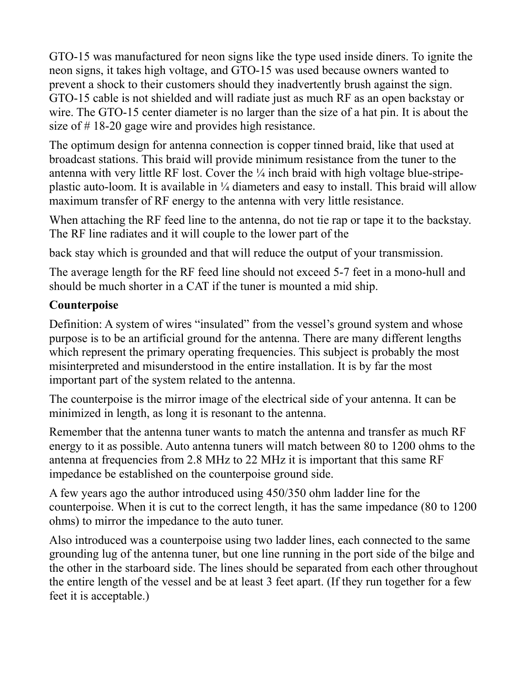GTO-15 was manufactured for neon signs like the type used inside diners. To ignite the neon signs, it takes high voltage, and GTO-15 was used because owners wanted to prevent a shock to their customers should they inadvertently brush against the sign. GTO-15 cable is not shielded and will radiate just as much RF as an open backstay or wire. The GTO-15 center diameter is no larger than the size of a hat pin. It is about the size of # 18-20 gage wire and provides high resistance.

The optimum design for antenna connection is copper tinned braid, like that used at broadcast stations. This braid will provide minimum resistance from the tuner to the antenna with very little RF lost. Cover the ¼ inch braid with high voltage blue-stripeplastic auto-loom. It is available in ¼ diameters and easy to install. This braid will allow maximum transfer of RF energy to the antenna with very little resistance.

When attaching the RF feed line to the antenna, do not tie rap or tape it to the backstay. The RF line radiates and it will couple to the lower part of the

back stay which is grounded and that will reduce the output of your transmission.

The average length for the RF feed line should not exceed 5-7 feet in a mono-hull and should be much shorter in a CAT if the tuner is mounted a mid ship.

## **Counterpoise**

Definition: A system of wires "insulated" from the vessel's ground system and whose purpose is to be an artificial ground for the antenna. There are many different lengths which represent the primary operating frequencies. This subject is probably the most misinterpreted and misunderstood in the entire installation. It is by far the most important part of the system related to the antenna.

The counterpoise is the mirror image of the electrical side of your antenna. It can be minimized in length, as long it is resonant to the antenna.

Remember that the antenna tuner wants to match the antenna and transfer as much RF energy to it as possible. Auto antenna tuners will match between 80 to 1200 ohms to the antenna at frequencies from 2.8 MHz to 22 MHz it is important that this same RF impedance be established on the counterpoise ground side.

A few years ago the author introduced using 450/350 ohm ladder line for the counterpoise. When it is cut to the correct length, it has the same impedance (80 to 1200 ohms) to mirror the impedance to the auto tuner.

Also introduced was a counterpoise using two ladder lines, each connected to the same grounding lug of the antenna tuner, but one line running in the port side of the bilge and the other in the starboard side. The lines should be separated from each other throughout the entire length of the vessel and be at least 3 feet apart. (If they run together for a few feet it is acceptable.)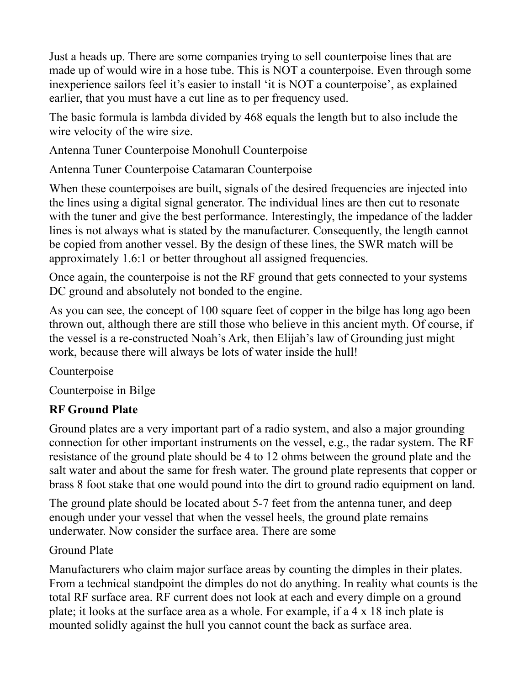Just a heads up. There are some companies trying to sell counterpoise lines that are made up of would wire in a hose tube. This is NOT a counterpoise. Even through some inexperience sailors feel it's easier to install 'it is NOT a counterpoise', as explained earlier, that you must have a cut line as to per frequency used.

The basic formula is lambda divided by 468 equals the length but to also include the wire velocity of the wire size.

Antenna Tuner Counterpoise Monohull Counterpoise

Antenna Tuner Counterpoise Catamaran Counterpoise

When these counterpoises are built, signals of the desired frequencies are injected into the lines using a digital signal generator. The individual lines are then cut to resonate with the tuner and give the best performance. Interestingly, the impedance of the ladder lines is not always what is stated by the manufacturer. Consequently, the length cannot be copied from another vessel. By the design of these lines, the SWR match will be approximately 1.6:1 or better throughout all assigned frequencies.

Once again, the counterpoise is not the RF ground that gets connected to your systems DC ground and absolutely not bonded to the engine.

As you can see, the concept of 100 square feet of copper in the bilge has long ago been thrown out, although there are still those who believe in this ancient myth. Of course, if the vessel is a re-constructed Noah's Ark, then Elijah's law of Grounding just might work, because there will always be lots of water inside the hull!

Counterpoise

Counterpoise in Bilge

# **RF Ground Plate**

Ground plates are a very important part of a radio system, and also a major grounding connection for other important instruments on the vessel, e.g., the radar system. The RF resistance of the ground plate should be 4 to 12 ohms between the ground plate and the salt water and about the same for fresh water. The ground plate represents that copper or brass 8 foot stake that one would pound into the dirt to ground radio equipment on land.

The ground plate should be located about 5-7 feet from the antenna tuner, and deep enough under your vessel that when the vessel heels, the ground plate remains underwater. Now consider the surface area. There are some

# Ground Plate

Manufacturers who claim major surface areas by counting the dimples in their plates. From a technical standpoint the dimples do not do anything. In reality what counts is the total RF surface area. RF current does not look at each and every dimple on a ground plate; it looks at the surface area as a whole. For example, if a 4 x 18 inch plate is mounted solidly against the hull you cannot count the back as surface area.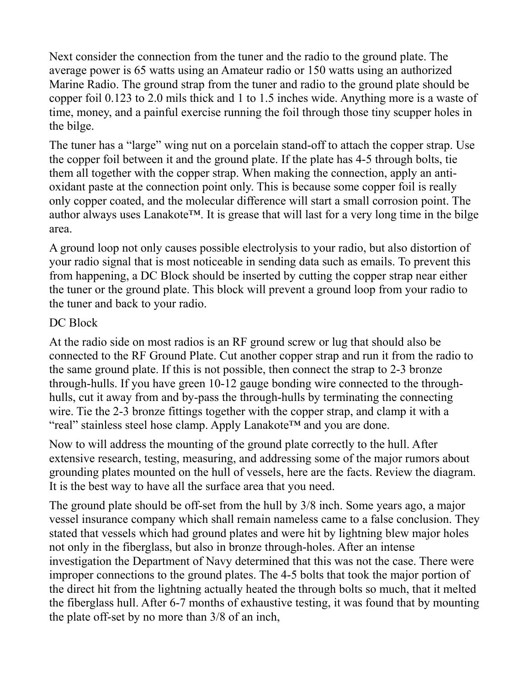Next consider the connection from the tuner and the radio to the ground plate. The average power is 65 watts using an Amateur radio or 150 watts using an authorized Marine Radio. The ground strap from the tuner and radio to the ground plate should be copper foil 0.123 to 2.0 mils thick and 1 to 1.5 inches wide. Anything more is a waste of time, money, and a painful exercise running the foil through those tiny scupper holes in the bilge.

The tuner has a "large" wing nut on a porcelain stand-off to attach the copper strap. Use the copper foil between it and the ground plate. If the plate has 4-5 through bolts, tie them all together with the copper strap. When making the connection, apply an antioxidant paste at the connection point only. This is because some copper foil is really only copper coated, and the molecular difference will start a small corrosion point. The author always uses Lanakote™. It is grease that will last for a very long time in the bilge area.

A ground loop not only causes possible electrolysis to your radio, but also distortion of your radio signal that is most noticeable in sending data such as emails. To prevent this from happening, a DC Block should be inserted by cutting the copper strap near either the tuner or the ground plate. This block will prevent a ground loop from your radio to the tuner and back to your radio.

#### DC Block

At the radio side on most radios is an RF ground screw or lug that should also be connected to the RF Ground Plate. Cut another copper strap and run it from the radio to the same ground plate. If this is not possible, then connect the strap to 2-3 bronze through-hulls. If you have green 10-12 gauge bonding wire connected to the throughhulls, cut it away from and by-pass the through-hulls by terminating the connecting wire. Tie the 2-3 bronze fittings together with the copper strap, and clamp it with a "real" stainless steel hose clamp. Apply Lanakote™ and you are done.

Now to will address the mounting of the ground plate correctly to the hull. After extensive research, testing, measuring, and addressing some of the major rumors about grounding plates mounted on the hull of vessels, here are the facts. Review the diagram. It is the best way to have all the surface area that you need.

The ground plate should be off-set from the hull by 3/8 inch. Some years ago, a major vessel insurance company which shall remain nameless came to a false conclusion. They stated that vessels which had ground plates and were hit by lightning blew major holes not only in the fiberglass, but also in bronze through-holes. After an intense investigation the Department of Navy determined that this was not the case. There were improper connections to the ground plates. The 4-5 bolts that took the major portion of the direct hit from the lightning actually heated the through bolts so much, that it melted the fiberglass hull. After 6-7 months of exhaustive testing, it was found that by mounting the plate off-set by no more than 3/8 of an inch,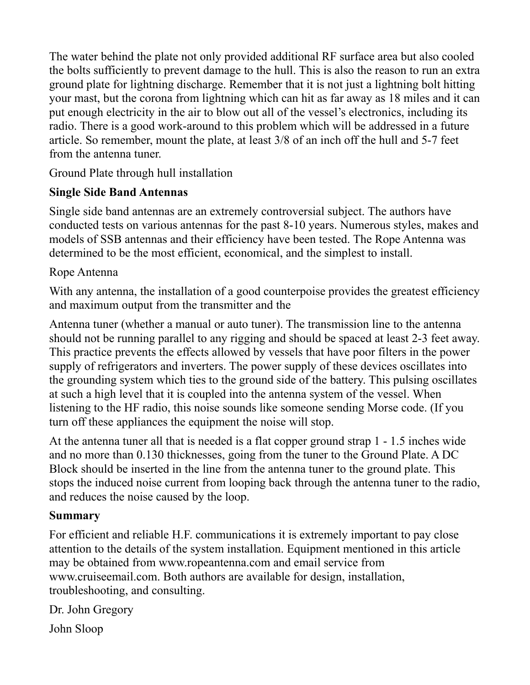The water behind the plate not only provided additional RF surface area but also cooled the bolts sufficiently to prevent damage to the hull. This is also the reason to run an extra ground plate for lightning discharge. Remember that it is not just a lightning bolt hitting your mast, but the corona from lightning which can hit as far away as 18 miles and it can put enough electricity in the air to blow out all of the vessel's electronics, including its radio. There is a good work-around to this problem which will be addressed in a future article. So remember, mount the plate, at least 3/8 of an inch off the hull and 5-7 feet from the antenna tuner.

Ground Plate through hull installation

## **Single Side Band Antennas**

Single side band antennas are an extremely controversial subject. The authors have conducted tests on various antennas for the past 8-10 years. Numerous styles, makes and models of SSB antennas and their efficiency have been tested. The Rope Antenna was determined to be the most efficient, economical, and the simplest to install.

## Rope Antenna

With any antenna, the installation of a good counterpoise provides the greatest efficiency and maximum output from the transmitter and the

Antenna tuner (whether a manual or auto tuner). The transmission line to the antenna should not be running parallel to any rigging and should be spaced at least 2-3 feet away. This practice prevents the effects allowed by vessels that have poor filters in the power supply of refrigerators and inverters. The power supply of these devices oscillates into the grounding system which ties to the ground side of the battery. This pulsing oscillates at such a high level that it is coupled into the antenna system of the vessel. When listening to the HF radio, this noise sounds like someone sending Morse code. (If you turn off these appliances the equipment the noise will stop.

At the antenna tuner all that is needed is a flat copper ground strap 1 - 1.5 inches wide and no more than 0.130 thicknesses, going from the tuner to the Ground Plate. A DC Block should be inserted in the line from the antenna tuner to the ground plate. This stops the induced noise current from looping back through the antenna tuner to the radio, and reduces the noise caused by the loop.

#### **Summary**

For efficient and reliable H.F. communications it is extremely important to pay close attention to the details of the system installation. Equipment mentioned in this article may be obtained from www.ropeantenna.com and email service from www.cruiseemail.com. Both authors are available for design, installation, troubleshooting, and consulting.

Dr. John Gregory

John Sloop